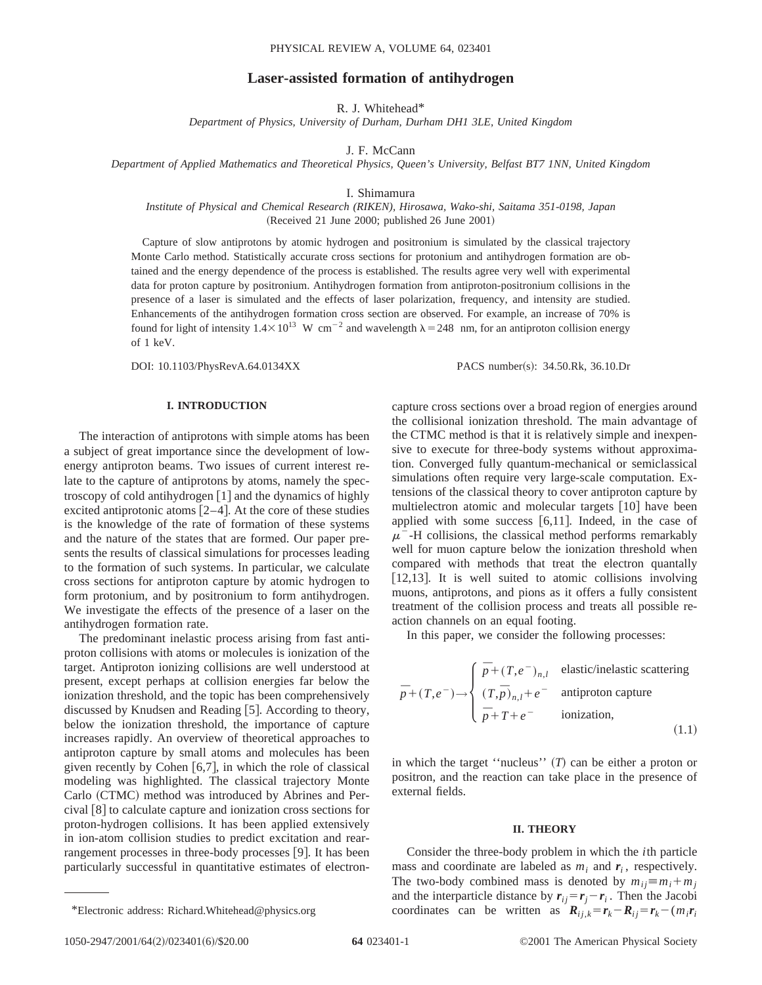# **Laser-assisted formation of antihydrogen**

R. J. Whitehead\*

*Department of Physics, University of Durham, Durham DH1 3LE, United Kingdom*

J. F. McCann

*Department of Applied Mathematics and Theoretical Physics, Queen's University, Belfast BT7 1NN, United Kingdom*

I. Shimamura

*Institute of Physical and Chemical Research (RIKEN), Hirosawa, Wako-shi, Saitama 351-0198, Japan*  $(Received 21 June 2000; published 26 June 2001)$ 

Capture of slow antiprotons by atomic hydrogen and positronium is simulated by the classical trajectory Monte Carlo method. Statistically accurate cross sections for protonium and antihydrogen formation are obtained and the energy dependence of the process is established. The results agree very well with experimental data for proton capture by positronium. Antihydrogen formation from antiproton-positronium collisions in the presence of a laser is simulated and the effects of laser polarization, frequency, and intensity are studied. Enhancements of the antihydrogen formation cross section are observed. For example, an increase of 70% is found for light of intensity  $1.4\times10^{13}$  W cm<sup>-2</sup> and wavelength  $\lambda$  = 248 nm, for an antiproton collision energy of 1 keV.

DOI: 10.1103/PhysRevA.64.0134XX PACS number(s): 34.50.Rk, 36.10.Dr

# **I. INTRODUCTION**

The interaction of antiprotons with simple atoms has been a subject of great importance since the development of lowenergy antiproton beams. Two issues of current interest relate to the capture of antiprotons by atoms, namely the spectroscopy of cold antihydrogen  $\lceil 1 \rceil$  and the dynamics of highly excited antiprotonic atoms  $[2-4]$ . At the core of these studies is the knowledge of the rate of formation of these systems and the nature of the states that are formed. Our paper presents the results of classical simulations for processes leading to the formation of such systems. In particular, we calculate cross sections for antiproton capture by atomic hydrogen to form protonium, and by positronium to form antihydrogen. We investigate the effects of the presence of a laser on the antihydrogen formation rate.

The predominant inelastic process arising from fast antiproton collisions with atoms or molecules is ionization of the target. Antiproton ionizing collisions are well understood at present, except perhaps at collision energies far below the ionization threshold, and the topic has been comprehensively discussed by Knudsen and Reading [5]. According to theory, below the ionization threshold, the importance of capture increases rapidly. An overview of theoretical approaches to antiproton capture by small atoms and molecules has been given recently by Cohen  $[6,7]$ , in which the role of classical modeling was highlighted. The classical trajectory Monte Carlo (CTMC) method was introduced by Abrines and Percival  $\lceil 8 \rceil$  to calculate capture and ionization cross sections for proton-hydrogen collisions. It has been applied extensively in ion-atom collision studies to predict excitation and rearrangement processes in three-body processes  $[9]$ . It has been particularly successful in quantitative estimates of electroncapture cross sections over a broad region of energies around the collisional ionization threshold. The main advantage of the CTMC method is that it is relatively simple and inexpensive to execute for three-body systems without approximation. Converged fully quantum-mechanical or semiclassical simulations often require very large-scale computation. Extensions of the classical theory to cover antiproton capture by multielectron atomic and molecular targets  $[10]$  have been applied with some success  $[6,11]$ . Indeed, in the case of  $\mu$ <sup>-</sup>-H collisions, the classical method performs remarkably well for muon capture below the ionization threshold when compared with methods that treat the electron quantally [12,13]. It is well suited to atomic collisions involving muons, antiprotons, and pions as it offers a fully consistent treatment of the collision process and treats all possible reaction channels on an equal footing.

In this paper, we consider the following processes:

$$
\bar{p} + (T, e^{-}) \rightarrow \begin{cases} \bar{p} + (T, e^{-})_{n,l} & \text{elastic/inelastic scattering} \\ (T, \bar{p})_{n,l} + e^{-} & \text{antiproton capture} \\ \bar{p} + T + e^{-} & \text{ionization,} \end{cases}
$$
\n(1.1)

in which the target "nucleus"  $(T)$  can be either a proton or positron, and the reaction can take place in the presence of external fields.

# **II. THEORY**

Consider the three-body problem in which the *i*th particle mass and coordinate are labeled as  $m_i$  and  $r_i$ , respectively. The two-body combined mass is denoted by  $m_{ij} \equiv m_i + m_j$ and the interparticle distance by  $r_{ij} = r_j - r_i$ . Then the Jacobi \*Electronic address: Richard.Whitehead@physics.org *coordinates* can be written as  $\mathbf{R}_{ii,k} = \mathbf{r}_k - \mathbf{R}_{ii} = \mathbf{r}_k - (m_i \mathbf{r}_i)$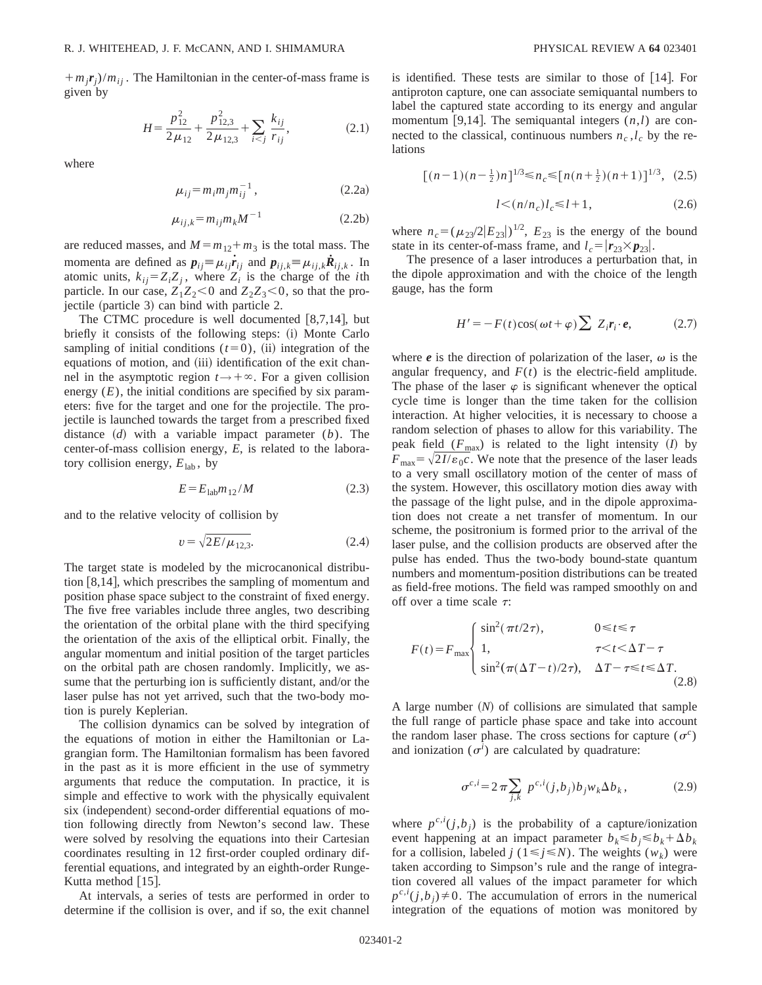$+m_j r_j/m_{ij}$ . The Hamiltonian in the center-of-mass frame is given by

$$
H = \frac{p_{12}^2}{2\mu_{12}} + \frac{p_{12,3}^2}{2\mu_{12,3}} + \sum_{i < j} \frac{k_{ij}}{r_{ij}},\tag{2.1}
$$

where

$$
\mu_{ij} = m_i m_j m_{ij}^{-1} , \qquad (2.2a)
$$

$$
\mu_{ij,k} = m_{ij} m_k M^{-1} \tag{2.2b}
$$

are reduced masses, and  $M = m_{12} + m_3$  is the total mass. The momenta are defined as  $p_{ij} \equiv \mu_{ij} \dot{r}_{ij}$  and  $p_{ij,k} \equiv \mu_{ij,k} \dot{R}_{ij,k}$ . In atomic units,  $k_{ij} = Z_i Z_j$ , where  $Z_i$  is the charge of the *i*th particle. In our case,  $Z_1Z_2 < 0$  and  $Z_2Z_3 < 0$ , so that the pro- $\chi$  jectile (particle 3) can bind with particle 2.

The CTMC procedure is well documented  $[8,7,14]$ , but briefly it consists of the following steps: (i) Monte Carlo sampling of initial conditions  $(t=0)$ , (ii) integration of the equations of motion, and (iii) identification of the exit channel in the asymptotic region  $t \rightarrow +\infty$ . For a given collision energy  $(E)$ , the initial conditions are specified by six parameters: five for the target and one for the projectile. The projectile is launched towards the target from a prescribed fixed distance  $(d)$  with a variable impact parameter  $(b)$ . The center-of-mass collision energy, *E*, is related to the laboratory collision energy,  $E_{lab}$ , by

$$
E = E_{\text{lab}} m_{12} / M \tag{2.3}
$$

and to the relative velocity of collision by

$$
v = \sqrt{2E/\mu_{12,3}}.\tag{2.4}
$$

The target state is modeled by the microcanonical distribution  $[8,14]$ , which prescribes the sampling of momentum and position phase space subject to the constraint of fixed energy. The five free variables include three angles, two describing the orientation of the orbital plane with the third specifying the orientation of the axis of the elliptical orbit. Finally, the angular momentum and initial position of the target particles on the orbital path are chosen randomly. Implicitly, we assume that the perturbing ion is sufficiently distant, and/or the laser pulse has not yet arrived, such that the two-body motion is purely Keplerian.

The collision dynamics can be solved by integration of the equations of motion in either the Hamiltonian or Lagrangian form. The Hamiltonian formalism has been favored in the past as it is more efficient in the use of symmetry arguments that reduce the computation. In practice, it is simple and effective to work with the physically equivalent six (independent) second-order differential equations of motion following directly from Newton's second law. These were solved by resolving the equations into their Cartesian coordinates resulting in 12 first-order coupled ordinary differential equations, and integrated by an eighth-order Runge-Kutta method  $|15|$ .

At intervals, a series of tests are performed in order to determine if the collision is over, and if so, the exit channel is identified. These tests are similar to those of  $|14|$ . For antiproton capture, one can associate semiquantal numbers to label the captured state according to its energy and angular momentum [9,14]. The semiquantal integers  $(n, l)$  are connected to the classical, continuous numbers  $n_c$ ,  $l_c$  by the relations

$$
[(n-1)(n-\frac{1}{2})n]^{1/3} \le n_c \le [n(n+\frac{1}{2})(n+1)]^{1/3}, (2.5)
$$

$$
l \lt (n/n_c)l_c \le l+1,\tag{2.6}
$$

where  $n_c = (\mu_{23}/2|E_{23}|)^{1/2}$ ,  $E_{23}$  is the energy of the bound state in its center-of-mass frame, and  $l_c = |\mathbf{r}_{23} \times \mathbf{p}_{23}|$ .

The presence of a laser introduces a perturbation that, in the dipole approximation and with the choice of the length gauge, has the form

$$
H' = -F(t)\cos(\omega t + \varphi) \sum Z_i r_i \cdot e, \qquad (2.7)
$$

where  $e$  is the direction of polarization of the laser,  $\omega$  is the angular frequency, and  $F(t)$  is the electric-field amplitude. The phase of the laser  $\varphi$  is significant whenever the optical cycle time is longer than the time taken for the collision interaction. At higher velocities, it is necessary to choose a random selection of phases to allow for this variability. The peak field  $(F_{\text{max}})$  is related to the light intensity  $(I)$  by  $F_{\text{max}} = \sqrt{2I/\varepsilon_0 c}$ . We note that the presence of the laser leads to a very small oscillatory motion of the center of mass of the system. However, this oscillatory motion dies away with the passage of the light pulse, and in the dipole approximation does not create a net transfer of momentum. In our scheme, the positronium is formed prior to the arrival of the laser pulse, and the collision products are observed after the pulse has ended. Thus the two-body bound-state quantum numbers and momentum-position distributions can be treated as field-free motions. The field was ramped smoothly on and off over a time scale  $\tau$ :

$$
F(t) = F_{\text{max}} \begin{cases} \sin^2(\pi t/2\tau), & 0 \le t \le \tau \\ 1, & \tau < t < \Delta T - \tau \\ \sin^2(\pi(\Delta T - t)/2\tau), & \Delta T - \tau \le t \le \Delta T. \end{cases}
$$
(2.8)

A large number  $(N)$  of collisions are simulated that sample the full range of particle phase space and take into account the random laser phase. The cross sections for capture  $(\sigma^c)$ and ionization  $(\sigma^i)$  are calculated by quadrature:

$$
\sigma^{c,i} = 2 \pi \sum_{j,k} p^{c,i}(j,b_j) b_j w_k \Delta b_k, \qquad (2.9)
$$

where  $p^{c,i}(j,b_j)$  is the probability of a capture/ionization event happening at an impact parameter  $b_k \le b_j \le b_k + \Delta b_k$ for a collision, labeled  $j$  ( $1 \le j \le N$ ). The weights  $(w_k)$  were taken according to Simpson's rule and the range of integration covered all values of the impact parameter for which  $p^{c,i}(j,b_j) \neq 0$ . The accumulation of errors in the numerical integration of the equations of motion was monitored by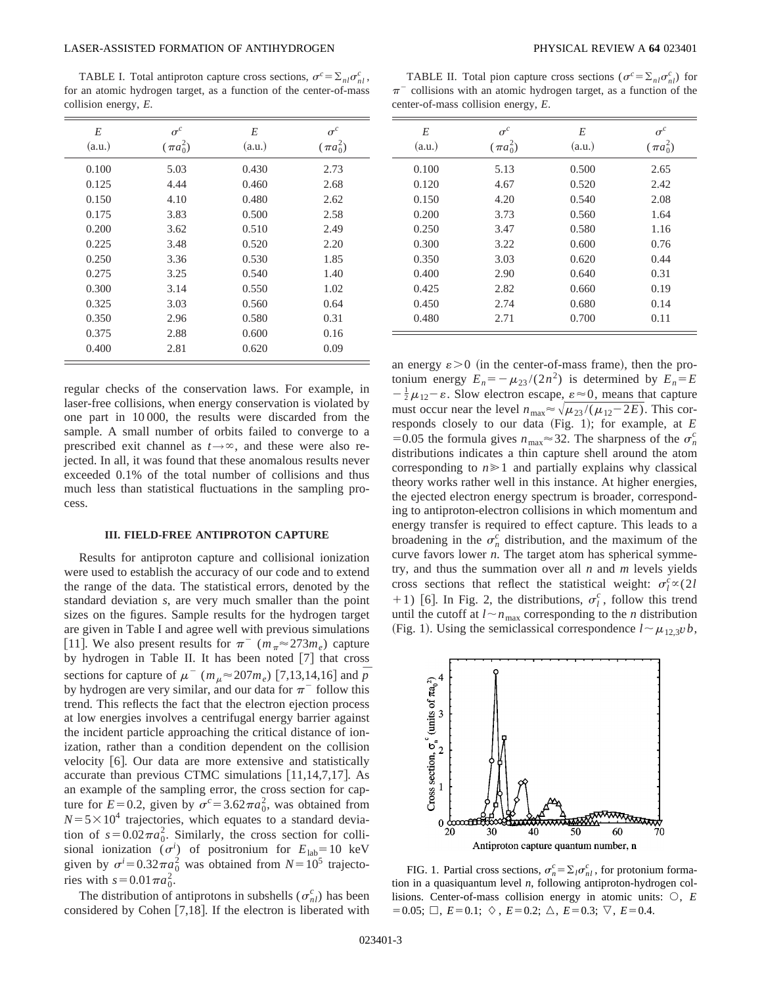### LASER-ASSISTED FORMATION OF ANTIHYDROGEN PHYSICAL REVIEW A **64** 023401

TABLE I. Total antiproton capture cross sections,  $\sigma^c = \sum_{nl} \sigma_{nl}^c$ , for an atomic hydrogen target, as a function of the center-of-mass collision energy, *E*.

| E      | $\sigma^c$    | E      | $\sigma^c$    |
|--------|---------------|--------|---------------|
| (a.u.) | $(\pi a_0^2)$ | (a.u.) | $(\pi a_0^2)$ |
| 0.100  | 5.03          | 0.430  | 2.73          |
| 0.125  | 4.44          | 0.460  | 2.68          |
| 0.150  | 4.10          | 0.480  | 2.62          |
| 0.175  | 3.83          | 0.500  | 2.58          |
| 0.200  | 3.62          | 0.510  | 2.49          |
| 0.225  | 3.48          | 0.520  | 2.20          |
| 0.250  | 3.36          | 0.530  | 1.85          |
| 0.275  | 3.25          | 0.540  | 1.40          |
| 0.300  | 3.14          | 0.550  | 1.02          |
| 0.325  | 3.03          | 0.560  | 0.64          |
| 0.350  | 2.96          | 0.580  | 0.31          |
| 0.375  | 2.88          | 0.600  | 0.16          |
| 0.400  | 2.81          | 0.620  | 0.09          |

regular checks of the conservation laws. For example, in laser-free collisions, when energy conservation is violated by one part in 10 000, the results were discarded from the sample. A small number of orbits failed to converge to a prescribed exit channel as  $t \rightarrow \infty$ , and these were also rejected. In all, it was found that these anomalous results never exceeded 0.1% of the total number of collisions and thus much less than statistical fluctuations in the sampling process.

### **III. FIELD-FREE ANTIPROTON CAPTURE**

Results for antiproton capture and collisional ionization were used to establish the accuracy of our code and to extend the range of the data. The statistical errors, denoted by the standard deviation *s*, are very much smaller than the point sizes on the figures. Sample results for the hydrogen target are given in Table I and agree well with previous simulations [11]. We also present results for  $\pi^{-}$  ( $m_{\pi} \approx 273 m_e$ ) capture by hydrogen in Table II. It has been noted  $[7]$  that cross sections for capture of  $\mu^{-}$  ( $m_{\mu} \approx 207 m_e$ ) [7,13,14,16] and  $\bar{p}$ by hydrogen are very similar, and our data for  $\pi^-$  follow this trend. This reflects the fact that the electron ejection process at low energies involves a centrifugal energy barrier against the incident particle approaching the critical distance of ionization, rather than a condition dependent on the collision velocity  $[6]$ . Our data are more extensive and statistically accurate than previous CTMC simulations  $[11,14,7,17]$ . As an example of the sampling error, the cross section for capture for  $E=0.2$ , given by  $\sigma^c = 3.62 \pi a_0^2$ , was obtained from  $N=5\times10^4$  trajectories, which equates to a standard deviation of  $s = 0.02\pi a_0^2$ . Similarly, the cross section for collisional ionization  $(\sigma^i)$  of positronium for  $E_{lab} = 10 \text{ keV}$ given by  $\sigma^i = 0.32 \pi a_0^2$  was obtained from  $N = 10^5$  trajectories with  $s = 0.01 \pi a_0^2$ .

The distribution of antiprotons in subshells ( $\sigma_{nl}^c$ ) has been considered by Cohen  $[7,18]$ . If the electron is liberated with

TABLE II. Total pion capture cross sections ( $\sigma^c = \sum_{n l} \sigma^c_{n l}$ ) for  $\pi$ <sup>-</sup> collisions with an atomic hydrogen target, as a function of the center-of-mass collision energy, *E*.

| E<br>(a.u.) | $\sigma^c$<br>$(\pi a_0^2)$ | E<br>(a.u.) | $\sigma^c$<br>$(\pi a_0^2)$ |
|-------------|-----------------------------|-------------|-----------------------------|
| 0.100       | 5.13                        | 0.500       | 2.65                        |
| 0.120       | 4.67                        | 0.520       | 2.42                        |
| 0.150       | 4.20                        | 0.540       | 2.08                        |
| 0.200       | 3.73                        | 0.560       | 1.64                        |
| 0.250       | 3.47                        | 0.580       | 1.16                        |
| 0.300       | 3.22                        | 0.600       | 0.76                        |
| 0.350       | 3.03                        | 0.620       | 0.44                        |
| 0.400       | 2.90                        | 0.640       | 0.31                        |
| 0.425       | 2.82                        | 0.660       | 0.19                        |
| 0.450       | 2.74                        | 0.680       | 0.14                        |
| 0.480       | 2.71                        | 0.700       | 0.11                        |

an energy  $\varepsilon > 0$  (in the center-of-mass frame), then the protonium energy  $E_n = -\mu_{23}/(2n^2)$  is determined by  $E_n = E$  $-\frac{1}{2}\mu_{12}$  –  $\varepsilon$ . Slow electron escape,  $\varepsilon \approx 0$ , means that capture must occur near the level  $n_{\text{max}} \approx \sqrt{\mu_{23}} /(\mu_{12} - 2E)$ . This corresponds closely to our data (Fig. 1); for example, at  $E$ =0.05 the formula gives  $n_{\text{max}} \approx 32$ . The sharpness of the  $\sigma_n^c$ distributions indicates a thin capture shell around the atom corresponding to  $n \geq 1$  and partially explains why classical theory works rather well in this instance. At higher energies, the ejected electron energy spectrum is broader, corresponding to antiproton-electron collisions in which momentum and energy transfer is required to effect capture. This leads to a broadening in the  $\sigma_n^c$  distribution, and the maximum of the curve favors lower *n*. The target atom has spherical symmetry, and thus the summation over all *n* and *m* levels yields cross sections that reflect the statistical weight:  $\sigma_l^c \propto (2l)$ +1) [6]. In Fig. 2, the distributions,  $\sigma_l^c$ , follow this trend until the cutoff at  $l \sim n_{\text{max}}$  corresponding to the *n* distribution (Fig. 1). Using the semiclassical correspondence  $l \sim \mu_{12,3} v \, b$ ,



FIG. 1. Partial cross sections,  $\sigma_n^c = \sum_l \sigma_{nl}^c$ , for protonium formation in a quasiquantum level *n*, following antiproton-hydrogen collisions. Center-of-mass collision energy in atomic units:  $\bigcirc$ , *E*  $=0.05; \Box, E=0.1; \diamondsuit, E=0.2; \triangle, E=0.3; \nabla, E=0.4.$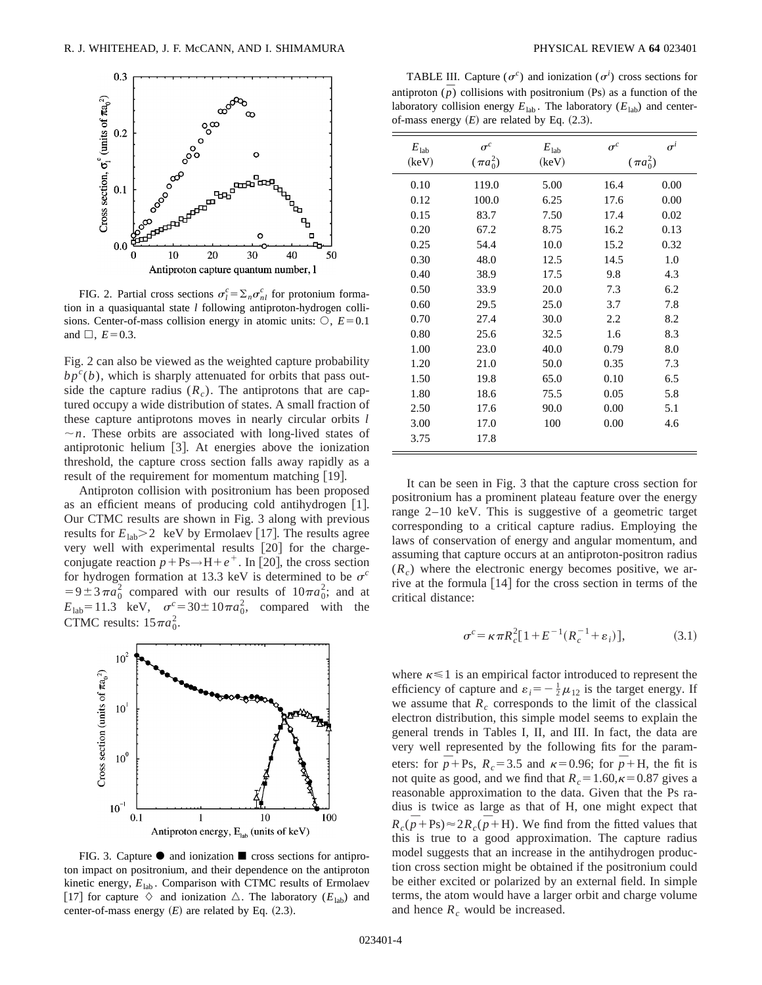

FIG. 2. Partial cross sections  $\sigma_l^c = \sum_n \sigma_{nl}^c$  for protonium formation in a quasiquantal state *l* following antiproton-hydrogen collisions. Center-of-mass collision energy in atomic units:  $\circ$ ,  $E=0.1$ and  $\Box$ ,  $E=0.3$ .

Fig. 2 can also be viewed as the weighted capture probability  $bp<sup>c</sup>(b)$ , which is sharply attenuated for orbits that pass outside the capture radius  $(R<sub>c</sub>)$ . The antiprotons that are captured occupy a wide distribution of states. A small fraction of these capture antiprotons moves in nearly circular orbits *l*  $\sim$ *n*. These orbits are associated with long-lived states of antiprotonic helium  $\lceil 3 \rceil$ . At energies above the ionization threshold, the capture cross section falls away rapidly as a result of the requirement for momentum matching  $[19]$ .

Antiproton collision with positronium has been proposed as an efficient means of producing cold antihydrogen  $[1]$ . Our CTMC results are shown in Fig. 3 along with previous results for  $E_{\text{lab}} > 2$  keV by Ermolaev [17]. The results agree very well with experimental results  $[20]$  for the chargeconjugate reaction  $p + Ps \rightarrow H + e^+$ . In [20], the cross section for hydrogen formation at 13.3 keV is determined to be  $\sigma^c$  $=9 \pm 3 \pi a_0^2$  compared with our results of  $10 \pi a_0^2$ ; and at  $E_{\text{lab}} = 11.3 \text{ keV}, \sigma^c = 30 \pm 10 \pi a_0^2, \text{compared with the}$ CTMC results:  $15\pi a_0^2$ .



FIG. 3. Capture  $\bullet$  and ionization  $\blacksquare$  cross sections for antiproton impact on positronium, and their dependence on the antiproton kinetic energy,  $E_{lab}$ . Comparison with CTMC results of Ermolaev [17] for capture  $\Diamond$  and ionization  $\Diamond$ . The laboratory ( $E_{lab}$ ) and center-of-mass energy  $(E)$  are related by Eq.  $(2.3)$ .

TABLE III. Capture  $(\sigma^c)$  and ionization  $(\sigma^i)$  cross sections for antiproton  $\overline{p}$  collisions with positronium (Ps) as a function of the laboratory collision energy  $E_{\text{lab}}$ . The laboratory ( $E_{\text{lab}}$ ) and centerof-mass energy  $(E)$  are related by Eq.  $(2.3)$ .

| $E_{\rm lab}$ | $\sigma^c$    | $E_{\rm lab}$ | $\sigma^c$    | $\sigma^i$ |
|---------------|---------------|---------------|---------------|------------|
| (keV)         | $(\pi a_0^2)$ | (keV)         | $(\pi a_0^2)$ |            |
| 0.10          | 119.0         | 5.00          | 16.4          | 0.00       |
| 0.12          | 100.0         | 6.25          | 17.6          | 0.00       |
| 0.15          | 83.7          | 7.50          | 17.4          | 0.02       |
| 0.20          | 67.2          | 8.75          | 16.2          | 0.13       |
| 0.25          | 54.4          | 10.0          | 15.2          | 0.32       |
| 0.30          | 48.0          | 12.5          | 14.5          | 1.0        |
| 0.40          | 38.9          | 17.5          | 9.8           | 4.3        |
| 0.50          | 33.9          | 20.0          | 7.3           | 6.2        |
| 0.60          | 29.5          | 25.0          | 3.7           | 7.8        |
| 0.70          | 27.4          | 30.0          | 2.2           | 8.2        |
| 0.80          | 25.6          | 32.5          | 1.6           | 8.3        |
| 1.00          | 23.0          | 40.0          | 0.79          | 8.0        |
| 1.20          | 21.0          | 50.0          | 0.35          | 7.3        |
| 1.50          | 19.8          | 65.0          | 0.10          | 6.5        |
| 1.80          | 18.6          | 75.5          | 0.05          | 5.8        |
| 2.50          | 17.6          | 90.0          | 0.00          | 5.1        |
| 3.00          | 17.0          | 100           | 0.00          | 4.6        |
| 3.75          | 17.8          |               |               |            |

It can be seen in Fig. 3 that the capture cross section for positronium has a prominent plateau feature over the energy range 2–10 keV. This is suggestive of a geometric target corresponding to a critical capture radius. Employing the laws of conservation of energy and angular momentum, and assuming that capture occurs at an antiproton-positron radius  $(R<sub>c</sub>)$  where the electronic energy becomes positive, we arrive at the formula  $[14]$  for the cross section in terms of the critical distance:

$$
\sigma^{c} = \kappa \pi R_{c}^{2} [1 + E^{-1} (R_{c}^{-1} + \varepsilon_{i})], \qquad (3.1)
$$

where  $\kappa \leq 1$  is an empirical factor introduced to represent the efficiency of capture and  $\varepsilon_i = -\frac{1}{2}\mu_{12}$  is the target energy. If we assume that  $R_c$  corresponds to the limit of the classical electron distribution, this simple model seems to explain the general trends in Tables I, II, and III. In fact, the data are very well represented by the following fits for the parameters: for  $\bar{p}$ +Ps,  $R_c$ =3.5 and  $\kappa$ =0.96; for  $\bar{p}$ +H, the fit is not quite as good, and we find that  $R_c = 1.60, \kappa = 0.87$  gives a reasonable approximation to the data. Given that the Ps radius is twice as large as that of H, one might expect that  $R_c(\bar{p} + \text{Ps}) \approx 2R_c(\bar{p} + \text{H})$ . We find from the fitted values that this is true to a good approximation. The capture radius model suggests that an increase in the antihydrogen production cross section might be obtained if the positronium could be either excited or polarized by an external field. In simple terms, the atom would have a larger orbit and charge volume and hence  $R_c$  would be increased.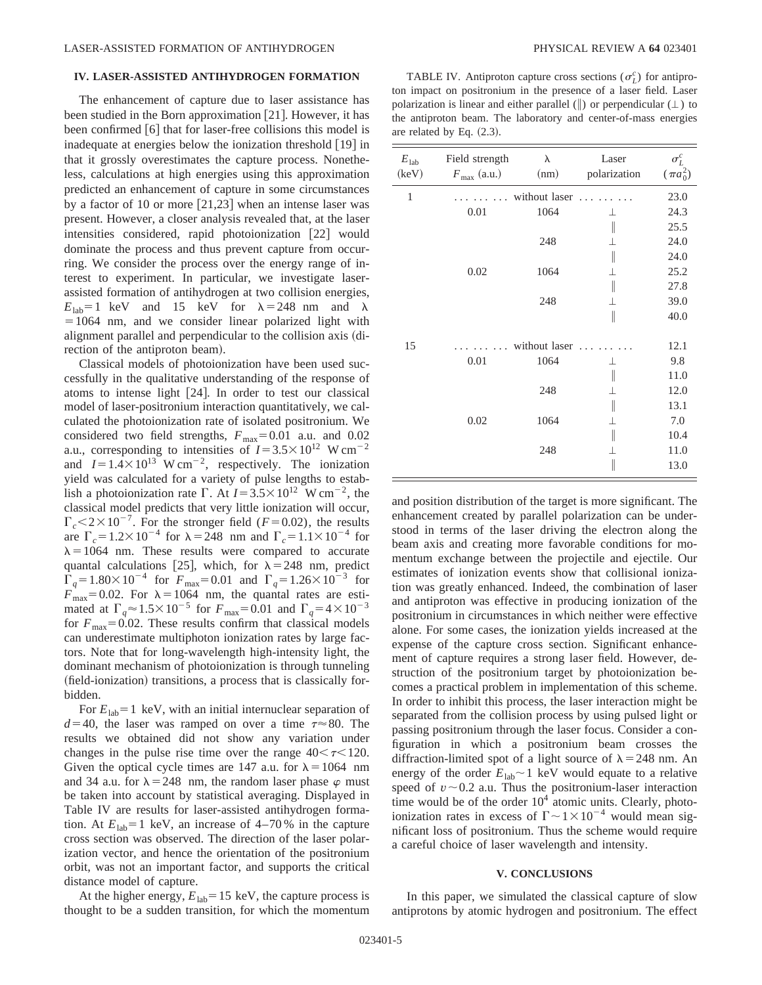# **IV. LASER-ASSISTED ANTIHYDROGEN FORMATION**

The enhancement of capture due to laser assistance has been studied in the Born approximation [21]. However, it has been confirmed  $[6]$  that for laser-free collisions this model is inadequate at energies below the ionization threshold  $[19]$  in that it grossly overestimates the capture process. Nonetheless, calculations at high energies using this approximation predicted an enhancement of capture in some circumstances by a factor of 10 or more  $[21,23]$  when an intense laser was present. However, a closer analysis revealed that, at the laser intensities considered, rapid photoionization  $[22]$  would dominate the process and thus prevent capture from occurring. We consider the process over the energy range of interest to experiment. In particular, we investigate laserassisted formation of antihydrogen at two collision energies,  $E_{\text{lab}}=1$  keV and 15 keV for  $\lambda=248$  nm and  $\lambda$  $=1064$  nm, and we consider linear polarized light with alignment parallel and perpendicular to the collision axis (direction of the antiproton beam).

Classical models of photoionization have been used successfully in the qualitative understanding of the response of atoms to intense light  $|24|$ . In order to test our classical model of laser-positronium interaction quantitatively, we calculated the photoionization rate of isolated positronium. We considered two field strengths,  $F_{\text{max}}=0.01$  a.u. and 0.02 a.u., corresponding to intensities of  $I=3.5\times10^{12}$  W cm<sup>-2</sup> and  $I=1.4\times10^{13}$  W cm<sup>-2</sup>, respectively. The ionization yield was calculated for a variety of pulse lengths to establish a photoionization rate  $\Gamma$ . At  $I=3.5\times10^{12}$  W cm<sup>-2</sup>, the classical model predicts that very little ionization will occur,  $\Gamma_c$  < 2 × 10<sup>-7</sup>. For the stronger field (*F* = 0.02), the results are  $\Gamma_c = 1.2 \times 10^{-4}$  for  $\lambda = 248$  nm and  $\Gamma_c = 1.1 \times 10^{-4}$  for  $\lambda = 1064$  nm. These results were compared to accurate quantal calculations [25], which, for  $\lambda = 248$  nm, predict  $\Gamma_q = 1.80 \times 10^{-4}$  for  $F_{\text{max}} = 0.01$  and  $\Gamma_q = 1.26 \times 10^{-3}$  for  $F_{\text{max}}=0.02$ . For  $\lambda=1064$  nm, the quantal rates are estimated at  $\Gamma_q \approx 1.5 \times 10^{-5}$  for  $F_{\text{max}}=0.01$  and  $\Gamma_q = 4 \times 10^{-3}$ for  $F_{\text{max}}=0.02$ . These results confirm that classical models can underestimate multiphoton ionization rates by large factors. Note that for long-wavelength high-intensity light, the dominant mechanism of photoionization is through tunneling  $(ield-ionization)$  transitions, a process that is classically forbidden.

For  $E_{lab} = 1$  keV, with an initial internuclear separation of  $d=40$ , the laser was ramped on over a time  $\tau \approx 80$ . The results we obtained did not show any variation under changes in the pulse rise time over the range  $40<\tau<120$ . Given the optical cycle times are 147 a.u. for  $\lambda = 1064$  nm and 34 a.u. for  $\lambda = 248$  nm, the random laser phase  $\varphi$  must be taken into account by statistical averaging. Displayed in Table IV are results for laser-assisted antihydrogen formation. At  $E_{lab}=1$  keV, an increase of  $4-70\%$  in the capture cross section was observed. The direction of the laser polarization vector, and hence the orientation of the positronium orbit, was not an important factor, and supports the critical distance model of capture.

At the higher energy,  $E_{lab} = 15 \text{ keV}$ , the capture process is thought to be a sudden transition, for which the momentum

TABLE IV. Antiproton capture cross sections ( $\sigma_L^c$ ) for antiproton impact on positronium in the presence of a laser field. Laser polarization is linear and either parallel ( $\parallel$ ) or perpendicular ( $\perp$ ) to the antiproton beam. The laboratory and center-of-mass energies are related by Eq.  $(2.3)$ .

| $E_{\rm lab}$<br>(keV) | Field strength<br>$F_{\text{max}}$ (a.u.) | λ<br>(nm)     | Laser<br>polarization | $\sigma_L^c$<br>$(\pi a_0^2)$ |
|------------------------|-------------------------------------------|---------------|-----------------------|-------------------------------|
| $\mathbf{1}$           |                                           | without laser |                       | 23.0                          |
|                        | 0.01                                      | 1064          | $\perp$               | 24.3                          |
|                        |                                           |               | $\biggl\}$            | 25.5                          |
|                        |                                           | 248           | ⊥                     | 24.0                          |
|                        |                                           |               |                       | 24.0                          |
|                        | 0.02                                      | 1064          | $\perp$               | 25.2                          |
|                        |                                           |               |                       | 27.8                          |
|                        |                                           | 248           | ⊥                     | 39.0                          |
|                        |                                           |               | $\parallel$           | 40.0                          |
| 15                     |                                           | without laser |                       | 12.1                          |
|                        | 0.01                                      | 1064          | ⊥                     | 9.8                           |
|                        |                                           |               |                       | 11.0                          |
|                        |                                           | 248           | $\perp$               | 12.0                          |
|                        |                                           |               |                       | 13.1                          |
|                        | 0.02                                      | 1064          |                       | 7.0                           |
|                        |                                           |               | $\big\}$              | 10.4                          |
|                        |                                           | 248           | $\mathbf{I}$          | 11.0                          |
|                        |                                           |               |                       | 13.0                          |

and position distribution of the target is more significant. The enhancement created by parallel polarization can be understood in terms of the laser driving the electron along the beam axis and creating more favorable conditions for momentum exchange between the projectile and ejectile. Our estimates of ionization events show that collisional ionization was greatly enhanced. Indeed, the combination of laser and antiproton was effective in producing ionization of the positronium in circumstances in which neither were effective alone. For some cases, the ionization yields increased at the expense of the capture cross section. Significant enhancement of capture requires a strong laser field. However, destruction of the positronium target by photoionization becomes a practical problem in implementation of this scheme. In order to inhibit this process, the laser interaction might be separated from the collision process by using pulsed light or passing positronium through the laser focus. Consider a configuration in which a positronium beam crosses the diffraction-limited spot of a light source of  $\lambda = 248$  nm. An energy of the order  $E_{lab} \sim 1$  keV would equate to a relative speed of  $v \sim 0.2$  a.u. Thus the positronium-laser interaction time would be of the order  $10<sup>4</sup>$  atomic units. Clearly, photoionization rates in excess of  $\Gamma \sim 1 \times 10^{-4}$  would mean significant loss of positronium. Thus the scheme would require a careful choice of laser wavelength and intensity.

### **V. CONCLUSIONS**

In this paper, we simulated the classical capture of slow antiprotons by atomic hydrogen and positronium. The effect